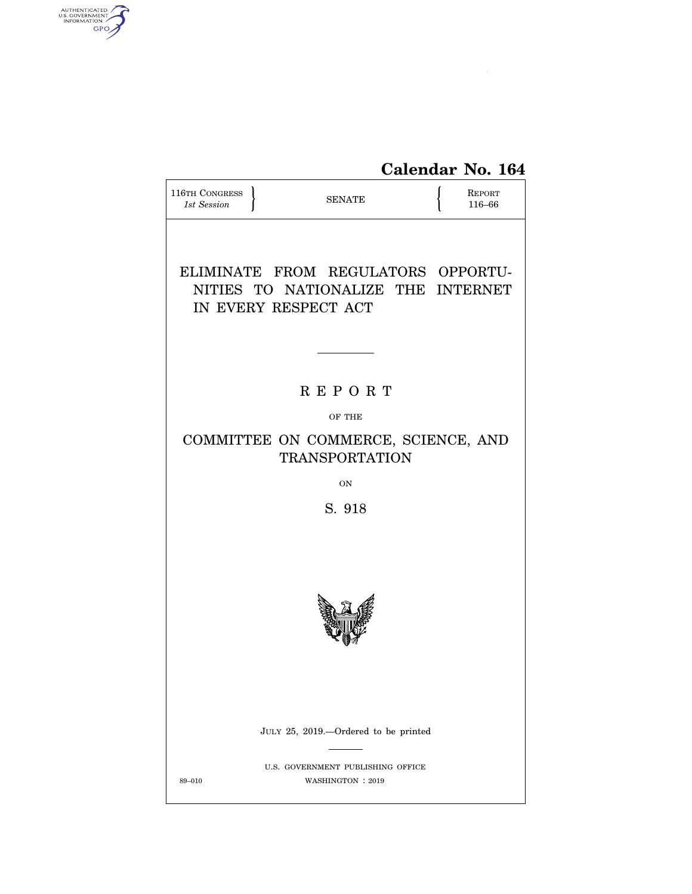

| 116TH CONGRESS<br>1st Session | <b>SENATE</b>                                                                                    | REPORT<br>116-66 |
|-------------------------------|--------------------------------------------------------------------------------------------------|------------------|
|                               | ELIMINATE FROM REGULATORS OPPORTU-<br>NITIES TO NATIONALIZE THE INTERNET<br>IN EVERY RESPECT ACT |                  |
|                               |                                                                                                  |                  |
|                               | <b>REPORT</b>                                                                                    |                  |
|                               | OF THE                                                                                           |                  |
|                               | COMMITTEE ON COMMERCE, SCIENCE, AND<br><b>TRANSPORTATION</b>                                     |                  |
|                               | ON                                                                                               |                  |
|                               | S. 918                                                                                           |                  |
|                               |                                                                                                  |                  |
|                               |                                                                                                  |                  |
|                               |                                                                                                  |                  |
|                               | JULY 25, 2019.—Ordered to be printed                                                             |                  |
| 89-010                        | U.S. GOVERNMENT PUBLISHING OFFICE<br>WASHINGTON: 2019                                            |                  |

AUTHENTICATED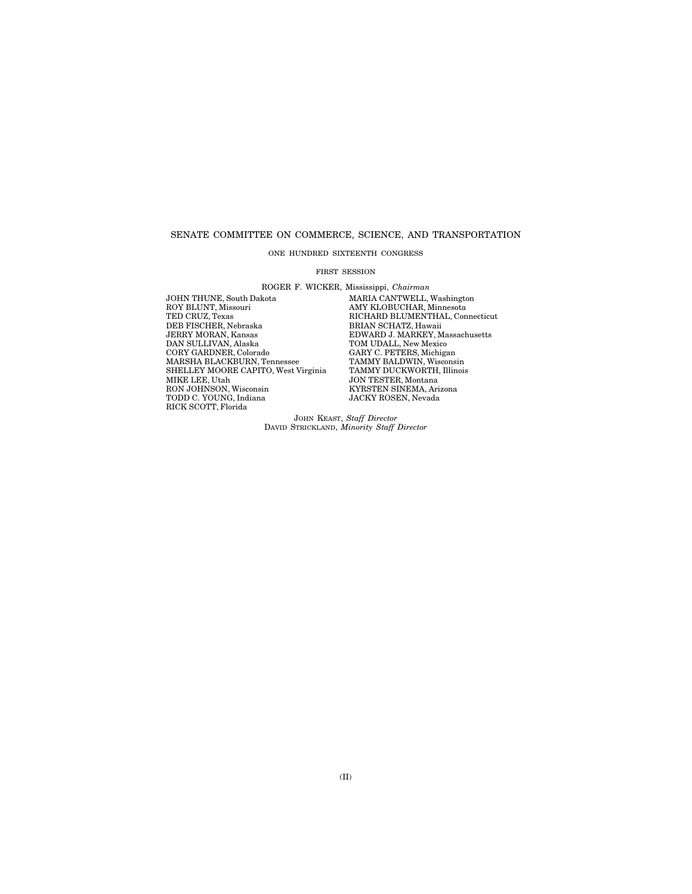#### SENATE COMMITTEE ON COMMERCE, SCIENCE, AND TRANSPORTATION

#### ONE HUNDRED SIXTEENTH CONGRESS

#### FIRST SESSION

ROGER F. WICKER, Mississippi, *Chairman* 

JOHN THUNE, South Dakota MARIA CANTWELL, Washington<br>ROY BLUNT, Missouri MARIA MAY KLOBUCHAR, Minnesota ROY BLUNT, Missouri AMY KLOBUCHAR, Minnesota TED CRUZ, Texas RICHARD BLUMENTHAL, Connecticut THE CIRCLIFER, Nebraska BRIAN SCHATZ, Hawaii JERRY MORAN, Kansas<br>JERRY MORAN, Kansas<br>DNARD J. MARKEY, M<br>DAN SULLIVAN, Alaska TOM UDALL, New Mexic JERRY MORAN, Kansas EDWARD J. MARKEY, Massachusetts DAN SULLIVAN, Alaska TOM UDALL, New Mexico CORY GARDNER, Colorado CARY C. PETERS, Michigan<br>MARSHA BLACKBURN, Tennessee TAMMY BALDWIN, Wisconsin<br>SHELLEY MOORE CAPITO, West Virginia TAMMY DUCKWORTH, Illinois MARSHA BLACKBURN, Tennessee TAMMY BALDWIN, Wisconsin SHELLEY MOORE CAPITO, West Virginia TAMMY DUCKWORTH, Illinois MIKE LEE, Utah JON TESTER, Montana TODD C. YOUNG, Indiana JACKY ROSEN, Nevada RICK SCOTT, Florida

**SON TESTEN, MONTAIR<br>KYRSTEN SINEMA, Arizona**<br>JACKY ROSEN, Nevada

JOHN KEAST, *Staff Director*  DAVID STRICKLAND, *Minority Staff Director*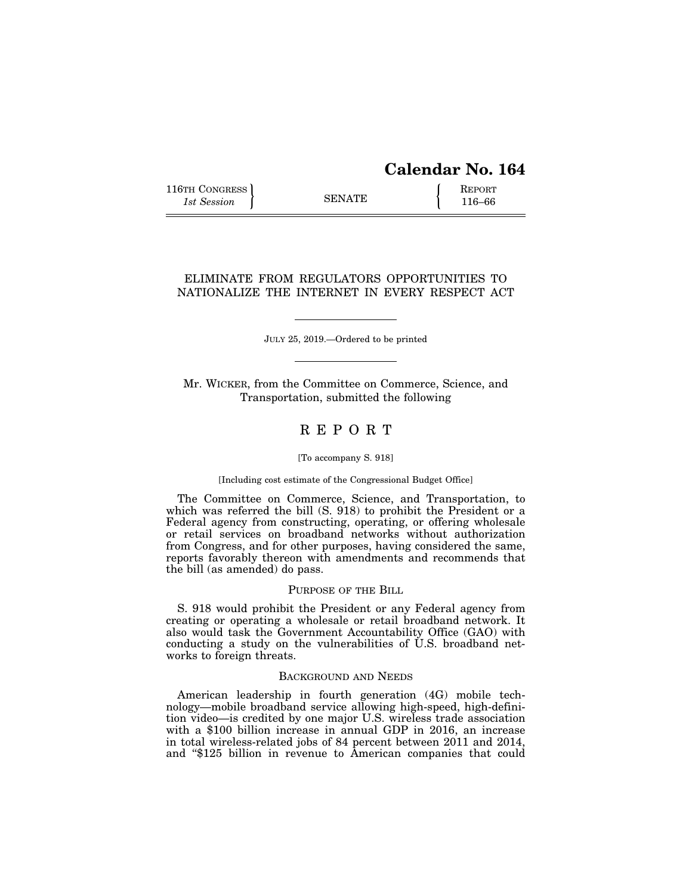# **Calendar No. 164**

116TH CONGRESS REPORT 116-66

# ELIMINATE FROM REGULATORS OPPORTUNITIES TO NATIONALIZE THE INTERNET IN EVERY RESPECT ACT

JULY 25, 2019.—Ordered to be printed

Mr. WICKER, from the Committee on Commerce, Science, and Transportation, submitted the following

# R E P O R T

#### [To accompany S. 918]

#### [Including cost estimate of the Congressional Budget Office]

The Committee on Commerce, Science, and Transportation, to which was referred the bill (S. 918) to prohibit the President or a Federal agency from constructing, operating, or offering wholesale or retail services on broadband networks without authorization from Congress, and for other purposes, having considered the same, reports favorably thereon with amendments and recommends that the bill (as amended) do pass.

# PURPOSE OF THE BILL

S. 918 would prohibit the President or any Federal agency from creating or operating a wholesale or retail broadband network. It also would task the Government Accountability Office (GAO) with conducting a study on the vulnerabilities of U.S. broadband networks to foreign threats.

#### BACKGROUND AND NEEDS

American leadership in fourth generation (4G) mobile technology—mobile broadband service allowing high-speed, high-definition video—is credited by one major U.S. wireless trade association with a \$100 billion increase in annual GDP in 2016, an increase in total wireless-related jobs of 84 percent between 2011 and 2014, and ''\$125 billion in revenue to American companies that could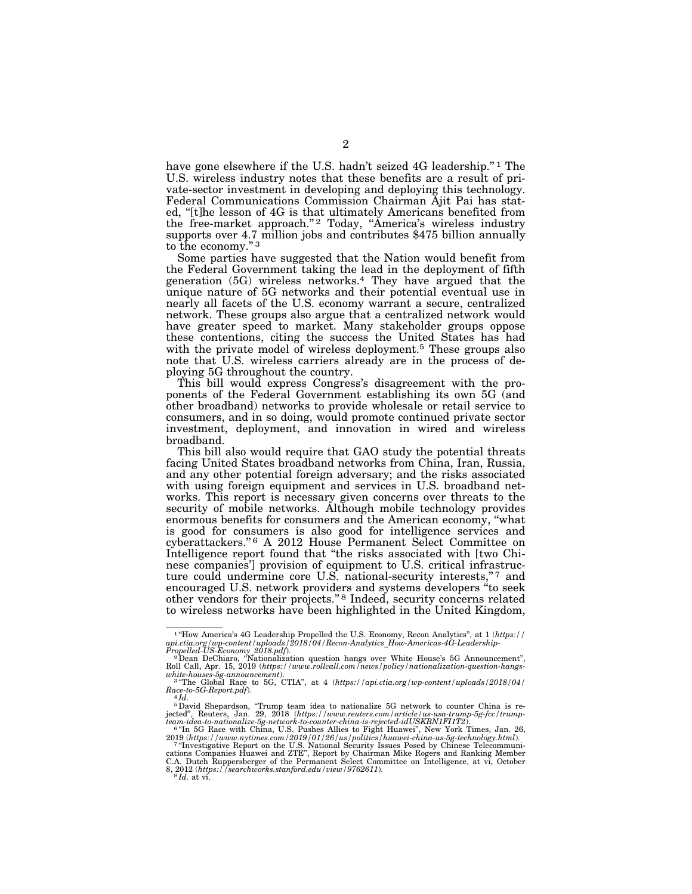have gone elsewhere if the U.S. hadn't seized 4G leadership."<sup>1</sup> The U.S. wireless industry notes that these benefits are a result of private-sector investment in developing and deploying this technology. Federal Communications Commission Chairman Ajit Pai has stated, ''[t]he lesson of 4G is that ultimately Americans benefited from the free-market approach."<sup>2</sup> Today, "America's wireless industry supports over 4.7 million jobs and contributes \$475 billion annually to the economy."<sup>3</sup>

Some parties have suggested that the Nation would benefit from the Federal Government taking the lead in the deployment of fifth generation (5G) wireless networks.4 They have argued that the unique nature of 5G networks and their potential eventual use in nearly all facets of the U.S. economy warrant a secure, centralized network. These groups also argue that a centralized network would have greater speed to market. Many stakeholder groups oppose these contentions, citing the success the United States has had with the private model of wireless deployment.<sup>5</sup> These groups also note that U.S. wireless carriers already are in the process of deploying 5G throughout the country.

This bill would express Congress's disagreement with the proponents of the Federal Government establishing its own 5G (and other broadband) networks to provide wholesale or retail service to consumers, and in so doing, would promote continued private sector investment, deployment, and innovation in wired and wireless broadband.

This bill also would require that GAO study the potential threats facing United States broadband networks from China, Iran, Russia, and any other potential foreign adversary; and the risks associated with using foreign equipment and services in U.S. broadband networks. This report is necessary given concerns over threats to the security of mobile networks. Although mobile technology provides enormous benefits for consumers and the American economy, ''what is good for consumers is also good for intelligence services and cyberattackers."<sup>6</sup> A 2012 House Permanent Select Committee on Intelligence report found that ''the risks associated with [two Chinese companies'] provision of equipment to U.S. critical infrastructure could undermine core U.S. national-security interests,"7 and encouraged U.S. network providers and systems developers ''to seek other vendors for their projects."<sup>8</sup> Indeed, security concerns related to wireless networks have been highlighted in the United Kingdom,

<sup>1</sup> ''How America's 4G Leadership Propelled the U.S. Economy, Recon Analytics'', at 1 (*https://*  api.ctia.org/wp-content/uploads/2018/04/Recon-Analytics\_How-Americas-4G-Leadership-<br>Propelled-US-Economy 2018.pdf).<br>- <sup>2</sup>Dean DeChiaro, "Nationalization question hangs over White House's 5G Announcement",

Roll Call, Apr. 15, 2019 (*https://www.rollcall.com/news/policy/nationalization-question-hangswhite-houses-5g-announcement*). 3 ''The Global Race to 5G, CTIA'', at 4 (*https://api.ctia.org/wp-content/uploads/2018/04/* 

*Race-to-5G-Report.pdf*). 4 *Id.* 

<sup>&</sup>lt;sup>5</sup> David Shepardson, "Trump team idea to nationalize 5G network to counter China is re-<br>jected", Reuters, Jan. 29, 2018 (https://www.reuters.com/article/us-usa-trump-5g-fcc/trump-<br>team-idea-to-nationalize-5g-network-to-c

<sup>2019 (</sup>https://www.nytimes.com/2019/01/26/us/politics/huawei-china-us-5g-technology.html)<br><sup>7 st</sup>Investigative Report on the U.S. National Security Issues Posed by Chinese Telecommuni-<br>cations Companies Huawei and ZTE", Repo C.A. Dutch Ruppersberger of the Permanent Select Committee on Intelligence, at vi, October 8, 2012 (*https://searchworks.stanford.edu/view/9762611*).<br><sup>8</sup>*Id.* at vi.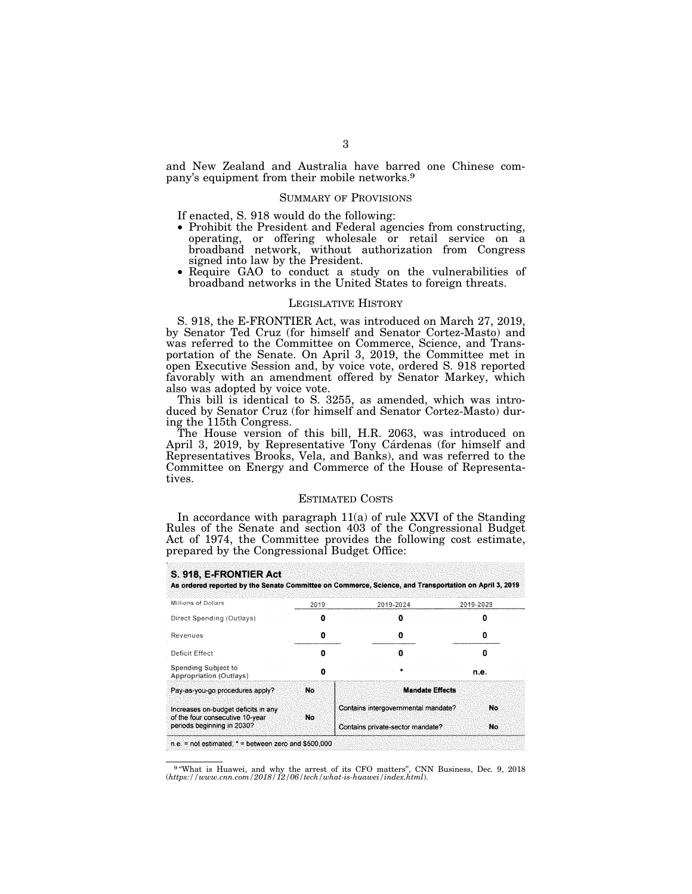and New Zealand and Australia have barred one Chinese company's equipment from their mobile networks.9

#### SUMMARY OF PROVISIONS

If enacted, S. 918 would do the following:

- Prohibit the President and Federal agencies from constructing, operating, or offering wholesale or retail service on a broadband network, without authorization from Congress signed into law by the President. • Require GAO to conduct a study on the vulnerabilities of
- Require GAO to conduct a study on the vulnerabilities of broadband networks in the United States to foreign threats.

#### LEGISLATIVE HISTORY

S. 918, the E-FRONTIER Act, was introduced on March 27, 2019, by Senator Ted Cruz (for himself and Senator Cortez-Masto) and was referred to the Committee on Commerce, Science, and Transportation of the Senate. On April 3, 2019, the Committee met in open Executive Session and, by voice vote, ordered S. 918 reported favorably with an amendment offered by Senator Markey, which also was adopted by voice vote.

This bill is identical to S. 3255, as amended, which was introduced by Senator Cruz (for himself and Senator Cortez-Masto) during the 115th Congress.

The House version of this bill, H.R. 2063, was introduced on April 3, 2019, by Representative Tony Cárdenas (for himself and Representatives Brooks, Vela, and Banks), and was referred to the Committee on Energy and Commerce of the House of Representatives.

#### ESTIMATED COSTS

In accordance with paragraph 11(a) of rule XXVI of the Standing Rules of the Senate and section 403 of the Congressional Budget Act of 1974, the Committee provides the following cost estimate, prepared by the Congressional Budget Office:

| Millions of Dollars                                                    | 2019 | 2019-2024                           | 2019-2029 |
|------------------------------------------------------------------------|------|-------------------------------------|-----------|
| Direct Spending (Outlays)                                              | o    |                                     | п         |
| Revenues                                                               | O    | o                                   | o         |
| Deficit Effect                                                         | Ω    | n                                   | Ω         |
| Spending Subject to<br><b>Appropriation (Outlays)</b>                  | o    |                                     | n.e.      |
| Pay-as-you-go procedures apply?                                        | No   | <b>Mandate Effects</b>              |           |
| Increases on-budget deficits in any<br>of the four consecutive 10-year | No   | Contains intergovernmental mandate? | No.       |
| periods beginning in 2030?                                             |      | Contains private-sector mandate?    | No.       |

9 ''What is Huawei, and why the arrest of its CFO matters'', CNN Business, Dec. 9, 2018 (*https://www.cnn.com/2018/12/06/tech/what-is-huawei/index.html*).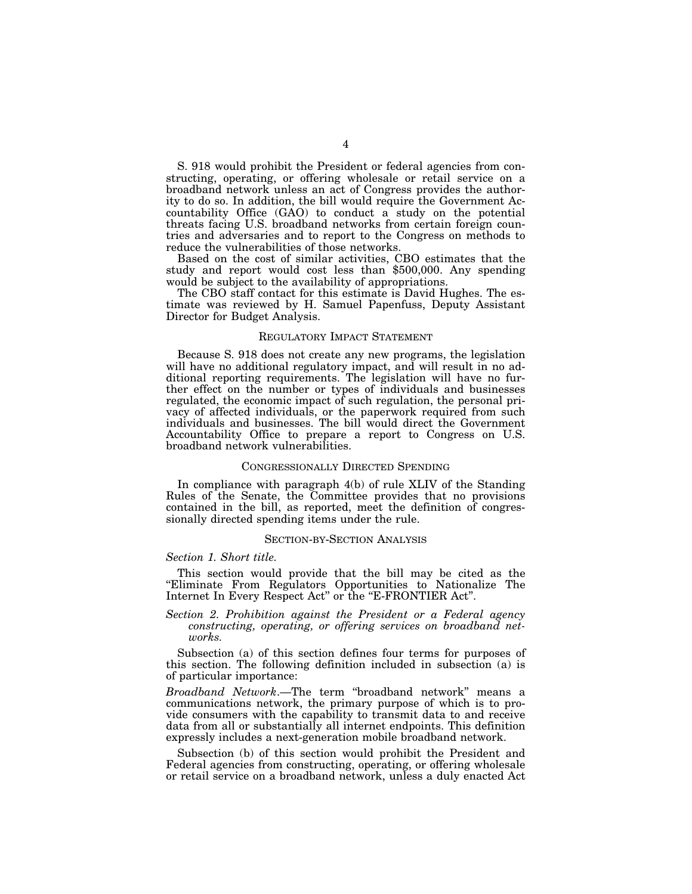S. 918 would prohibit the President or federal agencies from constructing, operating, or offering wholesale or retail service on a broadband network unless an act of Congress provides the authority to do so. In addition, the bill would require the Government Accountability Office (GAO) to conduct a study on the potential threats facing U.S. broadband networks from certain foreign countries and adversaries and to report to the Congress on methods to reduce the vulnerabilities of those networks.

Based on the cost of similar activities, CBO estimates that the study and report would cost less than \$500,000. Any spending would be subject to the availability of appropriations.

The CBO staff contact for this estimate is David Hughes. The estimate was reviewed by H. Samuel Papenfuss, Deputy Assistant Director for Budget Analysis.

#### REGULATORY IMPACT STATEMENT

Because S. 918 does not create any new programs, the legislation will have no additional regulatory impact, and will result in no additional reporting requirements. The legislation will have no further effect on the number or types of individuals and businesses regulated, the economic impact of such regulation, the personal privacy of affected individuals, or the paperwork required from such individuals and businesses. The bill would direct the Government Accountability Office to prepare a report to Congress on U.S. broadband network vulnerabilities.

#### CONGRESSIONALLY DIRECTED SPENDING

In compliance with paragraph 4(b) of rule XLIV of the Standing Rules of the Senate, the Committee provides that no provisions contained in the bill, as reported, meet the definition of congressionally directed spending items under the rule.

#### SECTION-BY-SECTION ANALYSIS

#### *Section 1. Short title.*

This section would provide that the bill may be cited as the ''Eliminate From Regulators Opportunities to Nationalize The Internet In Every Respect Act" or the "E-FRONTIER Act".

## *Section 2. Prohibition against the President or a Federal agency constructing, operating, or offering services on broadband networks.*

Subsection (a) of this section defines four terms for purposes of this section. The following definition included in subsection (a) is of particular importance:

*Broadband Network*.—The term ''broadband network'' means a communications network, the primary purpose of which is to provide consumers with the capability to transmit data to and receive data from all or substantially all internet endpoints. This definition expressly includes a next-generation mobile broadband network.

Subsection (b) of this section would prohibit the President and Federal agencies from constructing, operating, or offering wholesale or retail service on a broadband network, unless a duly enacted Act